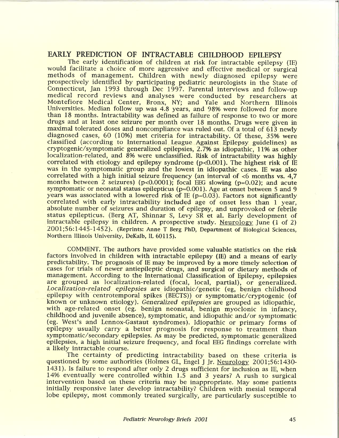## **EARLY PREDICTION OF INTRACTABLE CHILDHOOD EPILEPSY**

The early identification of children at risk for intractable epilepsy (IE) would facilitate a choice of more aggressive and effective medical or surgical methods of management. Children with newly diagnosed epilepsy were prospectively identified by participating pediatric neurologists in the State of Connecticut, Jan 1993 through Dec 1997. Parental interviews and follow-up medical record reviews and analyses were conducted by researchers at Montefiore Medical Center, Bronx, NY; and Yale and Northern Illinois Universities. Median follow up was 4.8 years, and 98% were followed for more than 18 months. Intractability was defined as failure of response to two or more drugs and at least one seizure per month over 18 months. Drugs were given in maximal tolerated doses and noncompliance was ruled out. Of a total of 613 newly diagnosed cases, 60 (10%) met criteria for intractability. Of these, 35% were classified (according to International League Against Epilepsy guidelines) as cryptogenic/symptomatic generalized epilepsies, 2.7% as idiopathic, 11% as other localization-related, and 8% were unclassified. Risk of intractability was highly correlated with etiology and epilepsy syndrome ( $p<0.001$ ). The highest risk of IE was in the symptomatic group and the lowest in idiopathic cases. IE was also correlated with a high initial seizure frequency (an interval of <6 months vs. 4,7 months between 2 seizures) ( $p<0.0001$ ); focal EEG slowing ( $p=0.02$ ); and acute symptomatic or neonatal status epilepticus ( $p=0.001$ ). Age at onset between 5 and 9 years was associated with a lowered risk of IE ( $p=0.03$ ). Factors not significantly correlated with early intractability included age of onset less than 1 year, absolute number of seizures and duration of epilepsy, and unprovoked or febrile status epilepticus. (Berg AT, Shinnar S, Levy SR et al. Early development of intractable epilepsy in children. A prospective study. Neurology June (1 of 2) 200 1 ; 5 6: 1445- 145 2). (Reprints: Anne T Berg **PhD,** Department of Biological Sciences, Northern Illinois University, DeKalb, IL 60115).

COMMENT. The authors have provided some valuable statistics on the risk factors involved in children with intractable epilepsy (IE) and a means of early predictability. The prognosis of IE may be improved by a more timely selection of cases for trials of newer antiepileptic drugs, and surgical or dietary methods of management. According to the International Classification of Epilepsy, epilepsies are grouped as localization-related (focal, local, partial), or generalized. Localization-related epilepsies are idiopathic/genetic (eg, benign childhood epilepsy with centrotemporal spikes (BECTS)) or symptomatic/cryptogenic (of known or unknown etiology). *Generalized epilepsies* are grouped as idiopathic, with age-related onset (eg. benign neonatal, benign myoclonic in infancy, childhood and juvenile absence), symptomatic, and idiopathic and/or symptomatic (eg. West's and Lennox-Gastaut syndromes). Idiopathic or primary forms of epilepsy usually carry a better prognosis for response to treatment than symptomatic/secondary epilepsies. As may be predicted, symptomatic generalized epilepsies, a high initial seizure frequency, and focal EEG findings correlate with a likely intractable course. Localization-related<br>
epilepsy with centrot<br>
known or unknown e<br>
with age-related ons<br>
childhood and juvenil<br>
(eg. West's and Lenr<br>
epilepsy usually car<br>
symptomatic/secondar<br>
epilepsies, a high initi<br>
a likely intractable

The certainty of predicting intractability based on these criteria is questioned by some authorities (Holmes GL, Engel J Jr. Neurology 2001;56:1430-1431). Is failure to respond after only 2 drugs sufficient for inclusion as IE, when 14% eventually were controlled within 1.5 and 3 years? A rush to surgical intervention based on these criteria may be inappropriate. May some patients initially responsive later develop intractability? Children with mesial temporal lobe epilepsy, most commonly treated surgically, are particularly susceptible to I